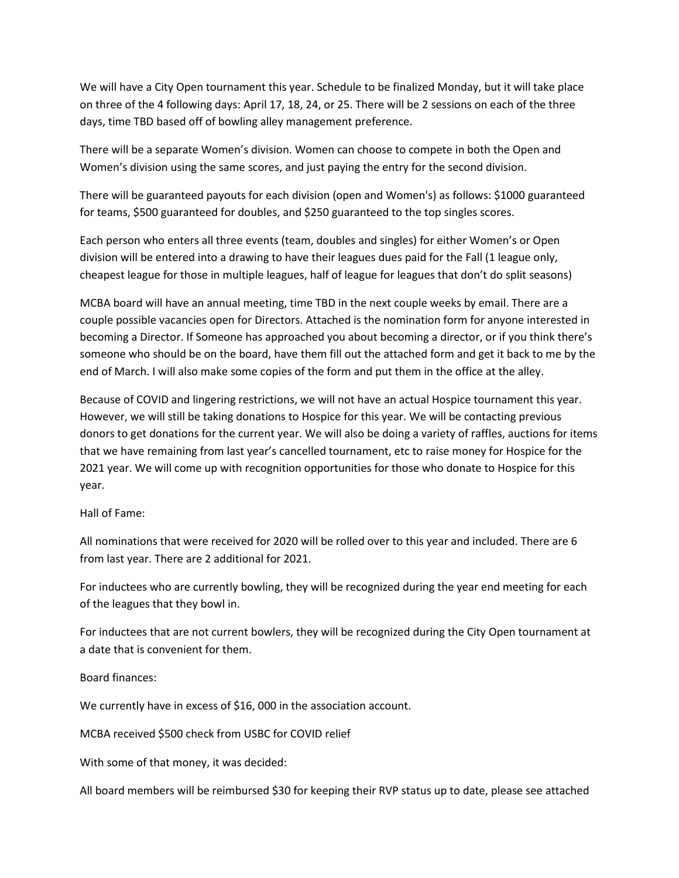We will have a City Open tournament this year. Schedule to be finalized Monday, but it will take place on three of the 4 following days: April 17, 18, 24, or 25. There will be 2 sessions on each of the three days, time TBD based off of bowling alley management preference.

There will be a separate Women's division. Women can choose to compete in both the Open and Women's division using the same scores, and just paying the entry for the second division.

There will be guaranteed payouts for each division (open and Women's) as follows: \$1000 guaranteed for teams, \$500 guaranteed for doubles, and \$250 guaranteed to the top singles scores.

Each person who enters all three events (team, doubles and singles) for either Women's or Open division will be entered into a drawing to have their leagues dues paid for the Fall (1 league only, cheapest league for those in multiple leagues, half of league for leagues that don't do split seasons)

MCBA board will have an annual meeting, time TBD in the next couple weeks by email. There are a couple possible vacancies open for Directors. Attached is the nomination form for anyone interested in becoming a Director. If Someone has approached you about becoming a director, or if you think there's someone who should be on the board, have them fill out the attached form and get it back to me by the end of March. I will also make some copies of the form and put them in the office at the alley.

Because of COVID and lingering restrictions, we will not have an actual Hospice tournament this year. However, we will still be taking donations to Hospice for this year. We will be contacting previous donors to get donations for the current year. We will also be doing a variety of raffles, auctions for items that we have remaining from last year's cancelled tournament, etc to raise money for Hospice for the 2021 year. We will come up with recognition opportunities for those who donate to Hospice for this year.

## Hall of Fame:

All nominations that were received for 2020 will be rolled over to this year and included. There are 6 from last year. There are 2 additional for 2021.

For inductees who are currently bowling, they will be recognized during the year end meeting for each of the leagues that they bowl in.

For inductees that are not current bowlers, they will be recognized during the City Open tournament at a date that is convenient for them.

Board finances:

We currently have in excess of \$16, 000 in the association account.

MCBA received \$500 check from USBC for COVID relief

With some of that money, it was decided:

All board members will be reimbursed \$30 for keeping their RVP status up to date, please see attached